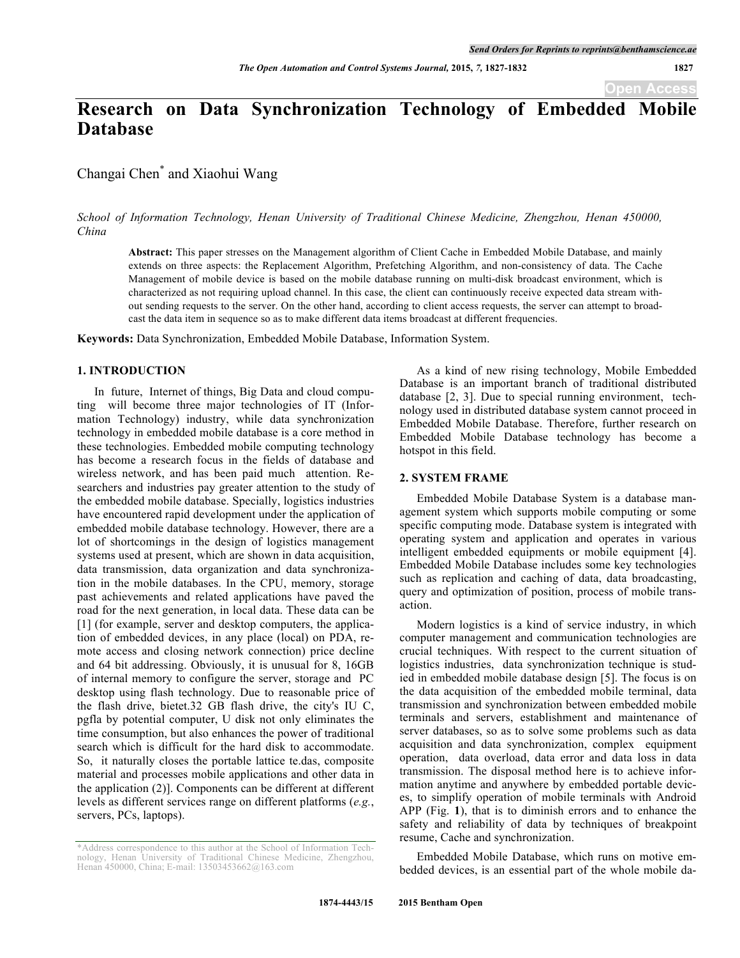# **Research on Data Synchronization Technology of Embedded Mobile Database**

Changai Chen\* and Xiaohui Wang

*School of Information Technology, Henan University of Traditional Chinese Medicine, Zhengzhou, Henan 450000, China*

**Abstract:** This paper stresses on the Management algorithm of Client Cache in Embedded Mobile Database, and mainly extends on three aspects: the Replacement Algorithm, Prefetching Algorithm, and non-consistency of data. The Cache Management of mobile device is based on the mobile database running on multi-disk broadcast environment, which is characterized as not requiring upload channel. In this case, the client can continuously receive expected data stream without sending requests to the server. On the other hand, according to client access requests, the server can attempt to broadcast the data item in sequence so as to make different data items broadcast at different frequencies.

**Keywords:** Data Synchronization, Embedded Mobile Database, Information System.

## **1. INTRODUCTION**

In future, Internet of things, Big Data and cloud computing will become three major technologies of IT (Information Technology) industry, while data synchronization technology in embedded mobile database is a core method in these technologies. Embedded mobile computing technology has become a research focus in the fields of database and wireless network, and has been paid much attention. Researchers and industries pay greater attention to the study of the embedded mobile database. Specially, logistics industries have encountered rapid development under the application of embedded mobile database technology. However, there are a lot of shortcomings in the design of logistics management systems used at present, which are shown in data acquisition, data transmission, data organization and data synchronization in the mobile databases. In the CPU, memory, storage past achievements and related applications have paved the road for the next generation, in local data. These data can be [1] (for example, server and desktop computers, the application of embedded devices, in any place (local) on PDA, remote access and closing network connection) price decline and 64 bit addressing. Obviously, it is unusual for 8, 16GB of internal memory to configure the server, storage and PC desktop using flash technology. Due to reasonable price of the flash drive, bietet.32 GB flash drive, the city's IU C, pgfla by potential computer, U disk not only eliminates the time consumption, but also enhances the power of traditional search which is difficult for the hard disk to accommodate. So, it naturally closes the portable lattice te.das, composite material and processes mobile applications and other data in the application (2)]. Components can be different at different levels as different services range on different platforms (*e.g.*, servers, PCs, laptops).

As a kind of new rising technology, Mobile Embedded Database is an important branch of traditional distributed database [2, 3]. Due to special running environment, technology used in distributed database system cannot proceed in Embedded Mobile Database. Therefore, further research on Embedded Mobile Database technology has become a hotspot in this field.

# **2. SYSTEM FRAME**

Embedded Mobile Database System is a database management system which supports mobile computing or some specific computing mode. Database system is integrated with operating system and application and operates in various intelligent embedded equipments or mobile equipment [4]. Embedded Mobile Database includes some key technologies such as replication and caching of data, data broadcasting, query and optimization of position, process of mobile transaction.

Modern logistics is a kind of service industry, in which computer management and communication technologies are crucial techniques. With respect to the current situation of logistics industries, data synchronization technique is studied in embedded mobile database design [5]. The focus is on the data acquisition of the embedded mobile terminal, data transmission and synchronization between embedded mobile terminals and servers, establishment and maintenance of server databases, so as to solve some problems such as data acquisition and data synchronization, complex equipment operation, data overload, data error and data loss in data transmission. The disposal method here is to achieve information anytime and anywhere by embedded portable devices, to simplify operation of mobile terminals with Android APP (Fig. **1**), that is to diminish errors and to enhance the safety and reliability of data by techniques of breakpoint resume, Cache and synchronization.

Embedded Mobile Database, which runs on motive embedded devices, is an essential part of the whole mobile da-

<sup>\*</sup>Address correspondence to this author at the School of Information Technology, Henan University of Traditional Chinese Medicine, Zhengzhou, Henan 450000, China; E-mail: 13503453662@163.com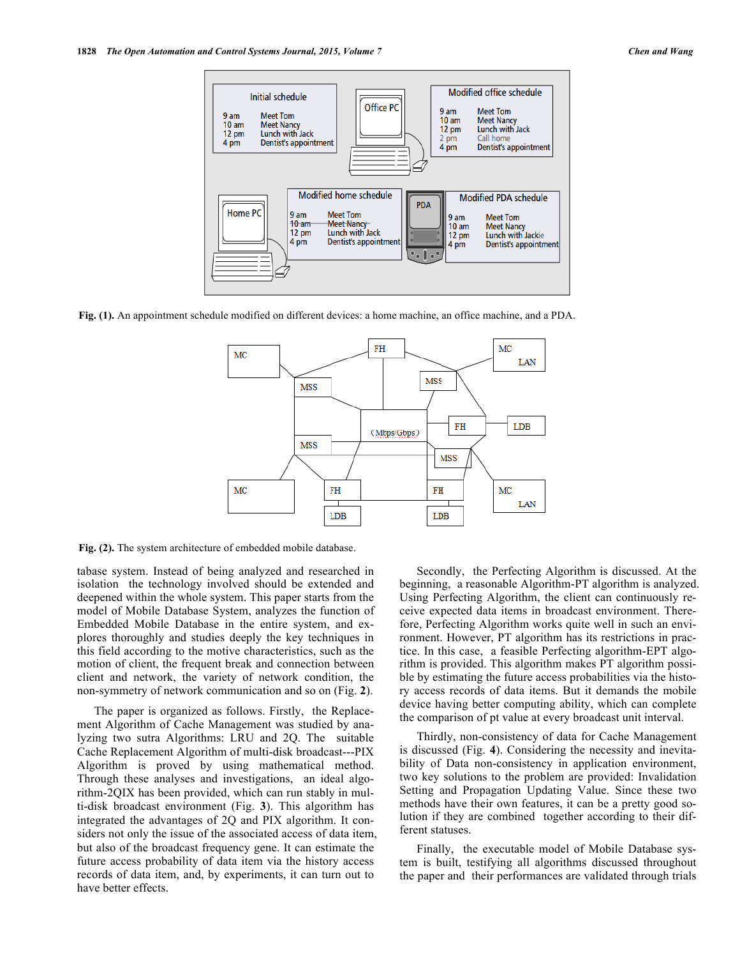

**Fig. (1).** An appointment schedule modified on different devices: a home machine, an office machine, and a PDA.



**Fig. (2).** The system architecture of embedded mobile database.

tabase system. Instead of being analyzed and researched in isolation the technology involved should be extended and deepened within the whole system. This paper starts from the model of Mobile Database System, analyzes the function of Embedded Mobile Database in the entire system, and explores thoroughly and studies deeply the key techniques in this field according to the motive characteristics, such as the motion of client, the frequent break and connection between client and network, the variety of network condition, the non-symmetry of network communication and so on (Fig. **2**).

The paper is organized as follows. Firstly, the Replacement Algorithm of Cache Management was studied by analyzing two sutra Algorithms: LRU and 2Q. The suitable Cache Replacement Algorithm of multi-disk broadcast---PIX Algorithm is proved by using mathematical method. Through these analyses and investigations, an ideal algorithm-2QIX has been provided, which can run stably in multi-disk broadcast environment (Fig. **3**). This algorithm has integrated the advantages of 2Q and PIX algorithm. It considers not only the issue of the associated access of data item, but also of the broadcast frequency gene. It can estimate the future access probability of data item via the history access records of data item, and, by experiments, it can turn out to have better effects.

Secondly, the Perfecting Algorithm is discussed. At the beginning, a reasonable Algorithm-PT algorithm is analyzed. Using Perfecting Algorithm, the client can continuously receive expected data items in broadcast environment. Therefore, Perfecting Algorithm works quite well in such an environment. However, PT algorithm has its restrictions in practice. In this case, a feasible Perfecting algorithm-EPT algorithm is provided. This algorithm makes PT algorithm possible by estimating the future access probabilities via the history access records of data items. But it demands the mobile device having better computing ability, which can complete the comparison of pt value at every broadcast unit interval.

Thirdly, non-consistency of data for Cache Management is discussed (Fig. **4**). Considering the necessity and inevitability of Data non-consistency in application environment, two key solutions to the problem are provided: Invalidation Setting and Propagation Updating Value. Since these two methods have their own features, it can be a pretty good solution if they are combined together according to their different statuses.

Finally, the executable model of Mobile Database system is built, testifying all algorithms discussed throughout the paper and their performances are validated through trials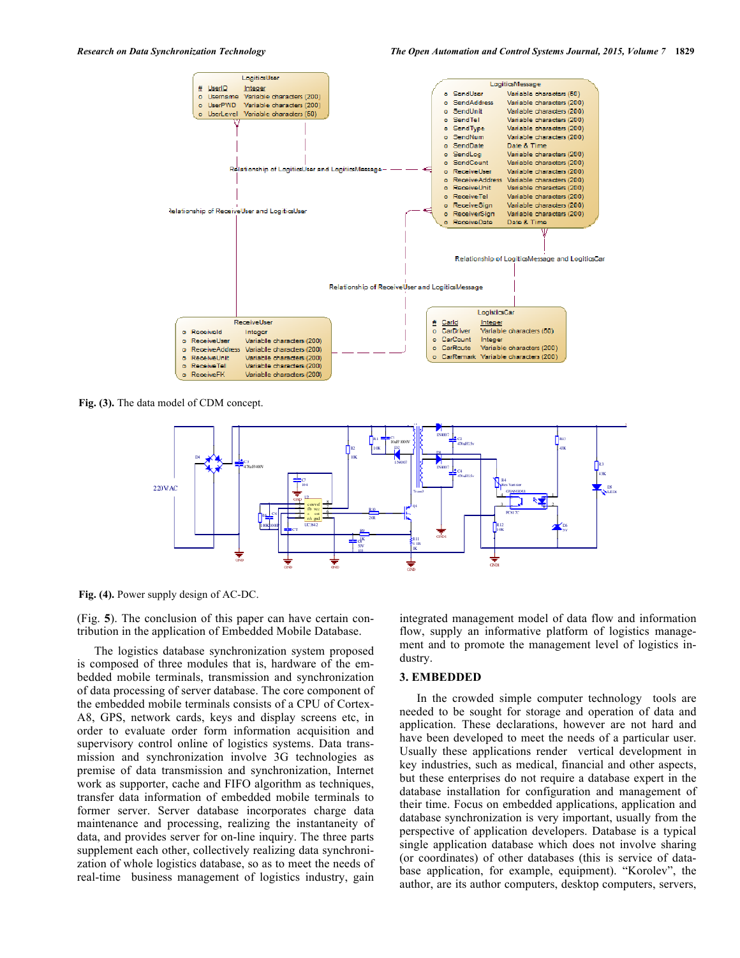

**Fig. (3).** The data model of CDM concept.



**Fig. (4).** Power supply design of AC-DC.

(Fig. **5**). The conclusion of this paper can have certain contribution in the application of Embedded Mobile Database.

The logistics database synchronization system proposed is composed of three modules that is, hardware of the embedded mobile terminals, transmission and synchronization of data processing of server database. The core component of the embedded mobile terminals consists of a CPU of Cortex-A8, GPS, network cards, keys and display screens etc, in order to evaluate order form information acquisition and supervisory control online of logistics systems. Data transmission and synchronization involve 3G technologies as premise of data transmission and synchronization, Internet work as supporter, cache and FIFO algorithm as techniques, transfer data information of embedded mobile terminals to former server. Server database incorporates charge data maintenance and processing, realizing the instantaneity of data, and provides server for on-line inquiry. The three parts supplement each other, collectively realizing data synchronization of whole logistics database, so as to meet the needs of real-time business management of logistics industry, gain integrated management model of data flow and information flow, supply an informative platform of logistics management and to promote the management level of logistics industry.

# **3. EMBEDDED**

In the crowded simple computer technology tools are needed to be sought for storage and operation of data and application. These declarations, however are not hard and have been developed to meet the needs of a particular user. Usually these applications render vertical development in key industries, such as medical, financial and other aspects, but these enterprises do not require a database expert in the database installation for configuration and management of their time. Focus on embedded applications, application and database synchronization is very important, usually from the perspective of application developers. Database is a typical single application database which does not involve sharing (or coordinates) of other databases (this is service of database application, for example, equipment). "Korolev", the author, are its author computers, desktop computers, servers,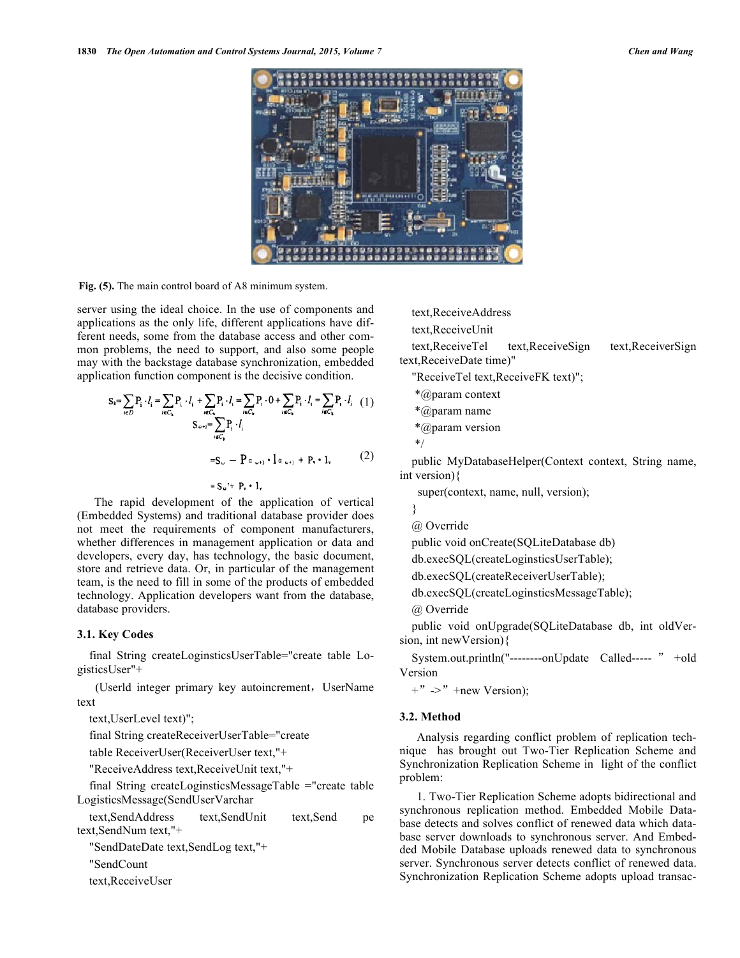

**Fig. (5).** The main control board of A8 minimum system.

server using the ideal choice. In the use of components and applications as the only life, different applications have different needs, some from the database access and other common problems, the need to support, and also some people may with the backstage database synchronization, embedded application function component is the decisive condition.

$$
S_{k} = \sum_{i \in D} P_{i} \cdot l_{i} = \sum_{i \in C_{k}} P_{i} \cdot l_{i} + \sum_{i \in C_{k}} P_{i} \cdot l_{i} = \sum_{i \in C_{k}} P_{i} \cdot 0 + \sum_{i \in C_{k}} P_{i} \cdot l_{i} = \sum_{i \in C_{k}} P_{i} \cdot l_{i} \quad (1)
$$
  

$$
S_{\omega + 1} = \sum_{i \in C_{k}} P_{i} \cdot l_{i}
$$
  

$$
= S_{\omega} - P \alpha_{\omega + 1} \cdot 1 \alpha_{\omega + 1} + P_{v} \cdot 1_{v} \qquad (2)
$$

 $= S_{\omega} + P_{v} \cdot 1$ 

The rapid development of the application of vertical (Embedded Systems) and traditional database provider does not meet the requirements of component manufacturers, whether differences in management application or data and developers, every day, has technology, the basic document, store and retrieve data. Or, in particular of the management team, is the need to fill in some of the products of embedded technology. Application developers want from the database, database providers.

### **3.1. Key Codes**

final String createLoginsticsUserTable="create table LogisticsUser"+

(Userld integer primary key autoincrement, UserName text

text,UserLevel text)";

final String createReceiverUserTable="create

table ReceiverUser(ReceiverUser text,"+

"ReceiveAddress text,ReceiveUnit text,"+

final String createLoginsticsMessageTable ="create table LogisticsMessage(SendUserVarchar

text,SendAddress text,SendUnit text,Send pe text,SendNum text,"+

"SendDateDate text,SendLog text,"+

"SendCount

text,ReceiveUser

text,ReceiveAddress

text,ReceiveUnit

text,ReceiveTel text,ReceiveSign text,ReceiverSign text,ReceiveDate time)"

- "ReceiveTel text,ReceiveFK text)";
- \*@param context
- \*@param name
- \*@param version

$$
^{\ast/}
$$

public MyDatabaseHelper(Context context, String name, int version){

super(context, name, null, version);

- }
- @ Override

public void onCreate(SQLiteDatabase db)

db.execSQL(createLoginsticsUserTable);

db.execSQL(createReceiverUserTable);

db.execSQL(createLoginsticsMessageTable);

@ Override

public void onUpgrade(SQLiteDatabase db, int oldVersion, int newVersion){

System.out.println("--------onUpdate Called----- " +old Version

 $+$ "  $\rightarrow$ " +new Version);

## **3.2. Method**

Analysis regarding conflict problem of replication technique has brought out Two-Tier Replication Scheme and Synchronization Replication Scheme in light of the conflict problem:

1. Two-Tier Replication Scheme adopts bidirectional and synchronous replication method. Embedded Mobile Database detects and solves conflict of renewed data which database server downloads to synchronous server. And Embedded Mobile Database uploads renewed data to synchronous server. Synchronous server detects conflict of renewed data. Synchronization Replication Scheme adopts upload transac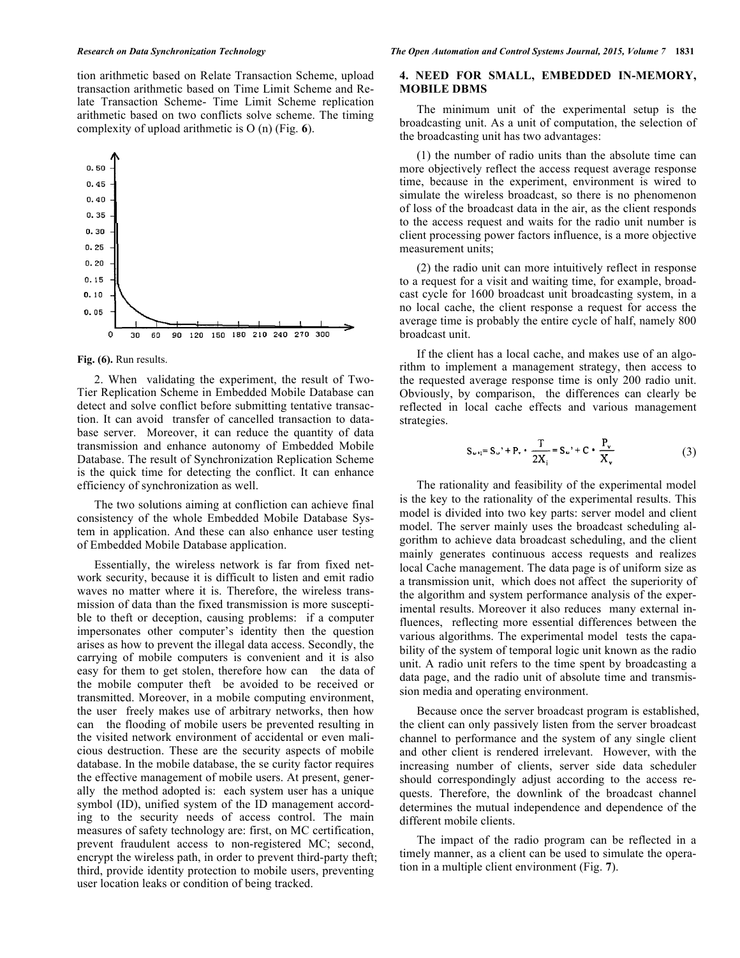tion arithmetic based on Relate Transaction Scheme, upload transaction arithmetic based on Time Limit Scheme and Relate Transaction Scheme- Time Limit Scheme replication arithmetic based on two conflicts solve scheme. The timing complexity of upload arithmetic is O (n) (Fig. **6**).



#### **Fig. (6).** Run results.

2. When validating the experiment, the result of Two-Tier Replication Scheme in Embedded Mobile Database can detect and solve conflict before submitting tentative transaction. It can avoid transfer of cancelled transaction to database server. Moreover, it can reduce the quantity of data transmission and enhance autonomy of Embedded Mobile Database. The result of Synchronization Replication Scheme is the quick time for detecting the conflict. It can enhance efficiency of synchronization as well.

The two solutions aiming at confliction can achieve final consistency of the whole Embedded Mobile Database System in application. And these can also enhance user testing of Embedded Mobile Database application.

Essentially, the wireless network is far from fixed network security, because it is difficult to listen and emit radio waves no matter where it is. Therefore, the wireless transmission of data than the fixed transmission is more susceptible to theft or deception, causing problems: if a computer impersonates other computer's identity then the question arises as how to prevent the illegal data access. Secondly, the carrying of mobile computers is convenient and it is also easy for them to get stolen, therefore how can the data of the mobile computer theft be avoided to be received or transmitted. Moreover, in a mobile computing environment, the user freely makes use of arbitrary networks, then how can the flooding of mobile users be prevented resulting in the visited network environment of accidental or even malicious destruction. These are the security aspects of mobile database. In the mobile database, the se curity factor requires the effective management of mobile users. At present, generally the method adopted is: each system user has a unique symbol (ID), unified system of the ID management according to the security needs of access control. The main measures of safety technology are: first, on MC certification, prevent fraudulent access to non-registered MC; second, encrypt the wireless path, in order to prevent third-party theft; third, provide identity protection to mobile users, preventing user location leaks or condition of being tracked.

## **4. NEED FOR SMALL, EMBEDDED IN-MEMORY, MOBILE DBMS**

The minimum unit of the experimental setup is the broadcasting unit. As a unit of computation, the selection of the broadcasting unit has two advantages:

(1) the number of radio units than the absolute time can more objectively reflect the access request average response time, because in the experiment, environment is wired to simulate the wireless broadcast, so there is no phenomenon of loss of the broadcast data in the air, as the client responds to the access request and waits for the radio unit number is client processing power factors influence, is a more objective measurement units;

(2) the radio unit can more intuitively reflect in response to a request for a visit and waiting time, for example, broadcast cycle for 1600 broadcast unit broadcasting system, in a no local cache, the client response a request for access the average time is probably the entire cycle of half, namely 800 broadcast unit.

If the client has a local cache, and makes use of an algorithm to implement a management strategy, then access to the requested average response time is only 200 radio unit. Obviously, by comparison, the differences can clearly be reflected in local cache effects and various management strategies.

$$
S_{\omega +} = S_{\omega} + P_{\nu} \cdot \frac{T}{2X_i} = S_{\omega} + C \cdot \frac{P_{\nu}}{X_{\nu}}
$$
 (3)

The rationality and feasibility of the experimental model is the key to the rationality of the experimental results. This model is divided into two key parts: server model and client model. The server mainly uses the broadcast scheduling algorithm to achieve data broadcast scheduling, and the client mainly generates continuous access requests and realizes local Cache management. The data page is of uniform size as a transmission unit, which does not affect the superiority of the algorithm and system performance analysis of the experimental results. Moreover it also reduces many external influences, reflecting more essential differences between the various algorithms. The experimental model tests the capability of the system of temporal logic unit known as the radio unit. A radio unit refers to the time spent by broadcasting a data page, and the radio unit of absolute time and transmission media and operating environment.

Because once the server broadcast program is established, the client can only passively listen from the server broadcast channel to performance and the system of any single client and other client is rendered irrelevant. However, with the increasing number of clients, server side data scheduler should correspondingly adjust according to the access requests. Therefore, the downlink of the broadcast channel determines the mutual independence and dependence of the different mobile clients.

The impact of the radio program can be reflected in a timely manner, as a client can be used to simulate the operation in a multiple client environment (Fig. **7**).